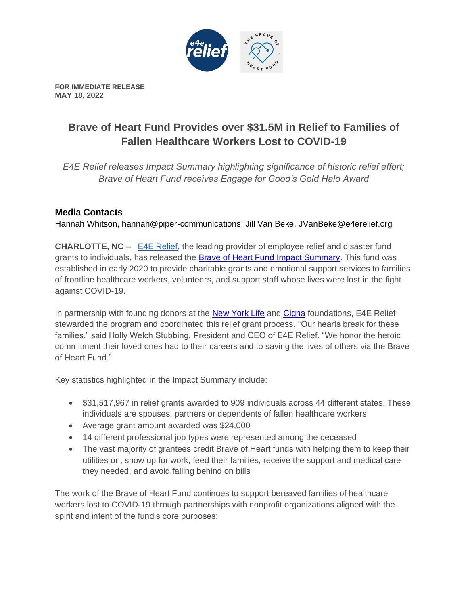

**FOR IMMEDIATE RELEASE MAY 18, 2022**

## **Brave of Heart Fund Provides over \$31.5M in Relief to Families of Fallen Healthcare Workers Lost to COVID-19**

*E4E Relief releases Impact Summary highlighting significance of historic relief effort; Brave of Heart Fund receives Engage for Good's Gold Halo Award* 

## **Media Contacts**

Hannah Whitson, hannah@piper-communications; Jill Van Beke, JVanBeke@e4erelief.org

**CHARLOTTE, NC** – [E4E Relief,](https://employeerelieffund.org/) the leading provider of employee relief and disaster fund grants to individuals, has released the [Brave of Heart Fund Impact Summary.](https://employeerelieffund.org/brave-of-heart-fund/) This fund was established in early 2020 to provide charitable grants and emotional support services to families of frontline healthcare workers, volunteers, and support staff whose lives were lost in the fight against COVID-19.

In partnership with founding donors at the [New York Life](https://www.newyorklife.com/foundation) and [Cigna](https://www.cigna.com/about-us/corporate-responsibility/cigna-foundation) foundations, E4E Relief stewarded the program and coordinated this relief grant process. "Our hearts break for these families," said Holly Welch Stubbing, President and CEO of E4E Relief. "We honor the heroic commitment their loved ones had to their careers and to saving the lives of others via the Brave of Heart Fund."

Key statistics highlighted in the Impact Summary include:

- \$31,517,967 in relief grants awarded to 909 individuals across 44 different states. These individuals are spouses, partners or dependents of fallen healthcare workers
- Average grant amount awarded was \$24,000
- 14 different professional job types were represented among the deceased
- The vast majority of grantees credit Brave of Heart funds with helping them to keep their utilities on, show up for work, feed their families, receive the support and medical care they needed, and avoid falling behind on bills

The work of the Brave of Heart Fund continues to support bereaved families of healthcare workers lost to COVID-19 through partnerships with nonprofit organizations aligned with the spirit and intent of the fund's core purposes: